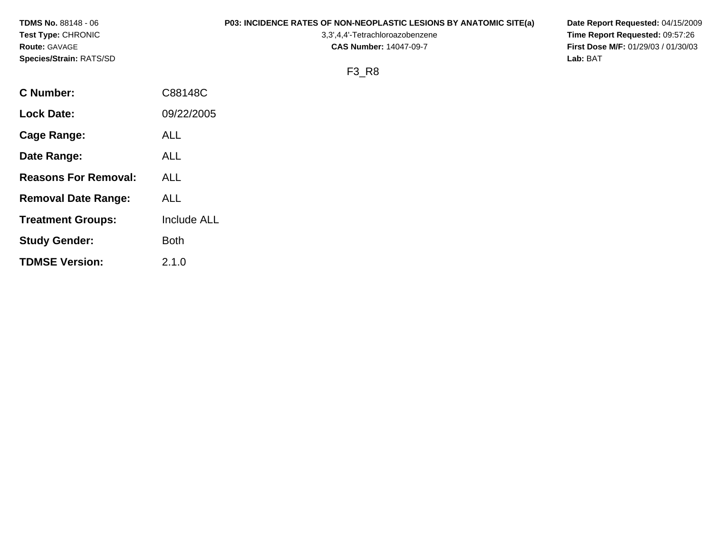| <b>TDMS No.</b> 88148 - 06 | <b>P03: INCIDENCE RATES OF NON-NEOPLASTIC LESIONS BY ANATOMIC SITE(a)</b> | Date Report Requested: 04/15/2009          |
|----------------------------|---------------------------------------------------------------------------|--------------------------------------------|
| Test Type: CHRONIC         | 3,3',4,4'-Tetrachloroazobenzene                                           | Time Report Requested: 09:57:26            |
| Route: GAVAGE              | <b>CAS Number: 14047-09-7</b>                                             | <b>First Dose M/F: 01/29/03 / 01/30/03</b> |
| Species/Strain: RATS/SD    |                                                                           | Lab: BAT                                   |
|                            | F3 R8                                                                     |                                            |
| <b>C Number:</b>           | C88148C                                                                   |                                            |
| <b>Lock Date:</b>          | 09/22/2005                                                                |                                            |
|                            |                                                                           |                                            |

**Cage Range:** ALL

**Date Range:** ALL

**Reasons For Removal:** ALL

**Removal Date Range:** ALL

**Study Gender:** Both

**TDMSE Version:** 2.1.0

**Treatment Groups:** Include ALL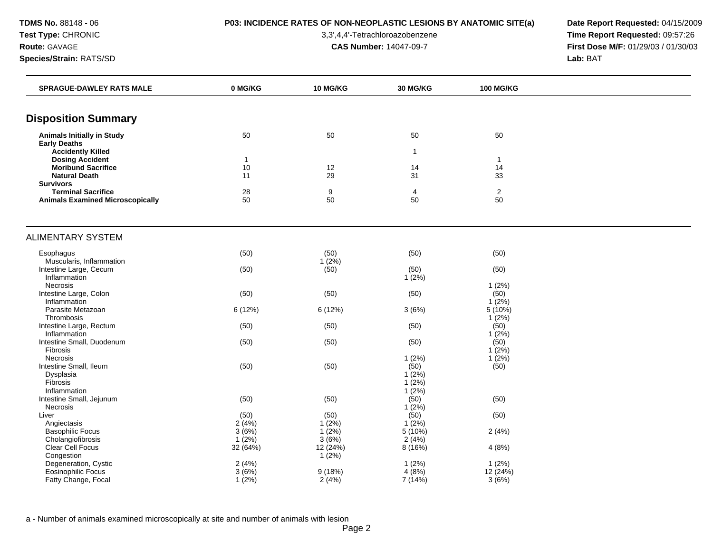**TDMS No.** 88148 - 06 **P03: INCIDENCE RATES OF NON-NEOPLASTIC LESIONS BY ANATOMIC SITE(a) Date Report Requested:** 04/15/2009

**Test Type:** CHRONIC 3,3',4,4'-Tetrachloroazobenzene **Time Report Requested:** 09:57:26 **Route:** GAVAGE **CAS Number:** 14047-09-7 **First Dose M/F:** 01/29/03 / 01/30/03

| <b>SPRAGUE-DAWLEY RATS MALE</b><br>0 MG/KG<br><b>10 MG/KG</b><br><b>30 MG/KG</b><br><b>100 MG/KG</b>          |  |
|---------------------------------------------------------------------------------------------------------------|--|
|                                                                                                               |  |
| <b>Disposition Summary</b>                                                                                    |  |
| <b>Animals Initially in Study</b><br>50<br>50<br>50<br>50<br><b>Early Deaths</b>                              |  |
| <b>Accidently Killed</b><br>$\mathbf{1}$                                                                      |  |
| <b>Dosing Accident</b><br>$\mathbf{1}$<br>$\mathbf{1}$                                                        |  |
| <b>Moribund Sacrifice</b><br>10<br>14<br>14<br>12                                                             |  |
| 33<br><b>Natural Death</b><br>11<br>29<br>31<br><b>Survivors</b>                                              |  |
| <b>Terminal Sacrifice</b><br>28<br>9<br>4<br>$\overline{2}$                                                   |  |
| 50<br>50<br>50<br>50<br><b>Animals Examined Microscopically</b>                                               |  |
|                                                                                                               |  |
| <b>ALIMENTARY SYSTEM</b>                                                                                      |  |
| (50)<br>(50)<br>(50)<br>(50)<br>Esophagus                                                                     |  |
| $1(2\%)$<br>Muscularis, Inflammation                                                                          |  |
| Intestine Large, Cecum<br>(50)<br>(50)<br>(50)<br>(50)                                                        |  |
| Inflammation<br>1(2%)                                                                                         |  |
| Necrosis<br>1(2%)                                                                                             |  |
| (50)<br>(50)<br>Intestine Large, Colon<br>(50)<br>(50)<br>$1(2\%)$<br>Inflammation                            |  |
| 6 (12%)<br>$5(10\%)$<br>Parasite Metazoan<br>6 (12%)<br>3(6%)                                                 |  |
| 1(2%)<br>Thrombosis                                                                                           |  |
| Intestine Large, Rectum<br>(50)<br>(50)<br>(50)<br>(50)                                                       |  |
| $1(2\%)$<br>Inflammation                                                                                      |  |
| Intestine Small, Duodenum<br>(50)<br>(50)<br>(50)<br>(50)                                                     |  |
| Fibrosis<br>1(2%)                                                                                             |  |
| 1(2%)<br>Necrosis<br>1(2%)                                                                                    |  |
| Intestine Small, Ileum<br>(50)<br>(50)<br>(50)<br>(50)                                                        |  |
| $1(2\%)$<br>Dysplasia<br>$1(2\%)$<br><b>Fibrosis</b>                                                          |  |
| 1(2%)<br>Inflammation                                                                                         |  |
| (50)<br>Intestine Small, Jejunum<br>(50)<br>(50)<br>(50)                                                      |  |
| $1(2\%)$<br>Necrosis                                                                                          |  |
| (50)<br>(50)<br>(50)<br>(50)<br>Liver                                                                         |  |
| 2(4%)<br>1(2%)<br>$1(2\%)$<br>Angiectasis                                                                     |  |
| <b>Basophilic Focus</b><br>$1(2\%)$<br>3(6%)<br>5(10%)<br>2(4%)                                               |  |
| $1(2\%)$<br>3(6%)<br>2(4%)<br>Cholangiofibrosis                                                               |  |
| Clear Cell Focus<br>32 (64%)<br>12 (24%)<br>8 (16%)<br>4(8%)                                                  |  |
| Congestion<br>1(2%)                                                                                           |  |
| Degeneration, Cystic<br>2(4%)<br>1(2%)<br>1(2%)<br>Eosinophilic Focus<br>4(8%)<br>3(6%)<br>9(18%)<br>12 (24%) |  |
| Fatty Change, Focal<br>$1(2\%)$<br>2(4%)<br>7 (14%)<br>3(6%)                                                  |  |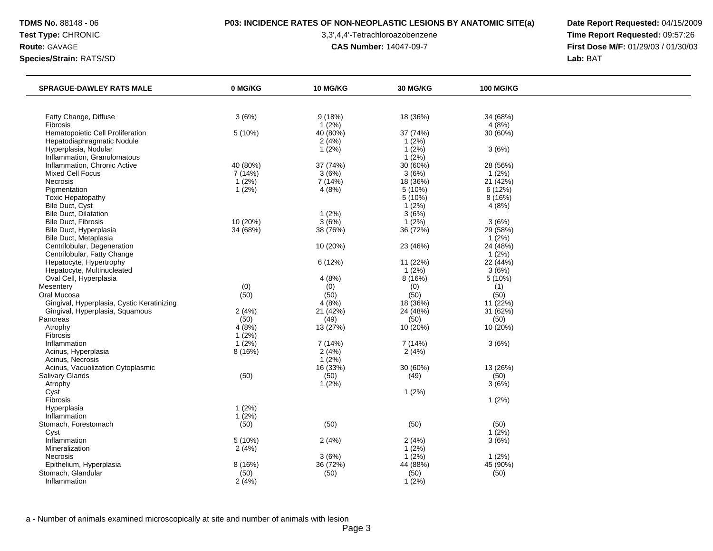## **TDMS No.** 88148 - 06 **P03: INCIDENCE RATES OF NON-NEOPLASTIC LESIONS BY ANATOMIC SITE(a) Date Report Requested:** 04/15/2009

**Test Type:** CHRONIC 3,3',4,4'-Tetrachloroazobenzene **Time Report Requested:** 09:57:26 **Route:** GAVAGE **CAS Number:** 14047-09-7 **First Dose M/F:** 01/29/03 / 01/30/03

| <b>SPRAGUE-DAWLEY RATS MALE</b>            | 0 MG/KG  | <b>10 MG/KG</b> | <b>30 MG/KG</b> | <b>100 MG/KG</b> |  |
|--------------------------------------------|----------|-----------------|-----------------|------------------|--|
|                                            |          |                 |                 |                  |  |
| Fatty Change, Diffuse                      | 3(6%)    | 9(18%)          | 18 (36%)        | 34 (68%)         |  |
| Fibrosis                                   |          | $1(2\%)$        |                 | 4(8%)            |  |
| Hematopoietic Cell Proliferation           | 5 (10%)  | 40 (80%)        | 37 (74%)        | 30 (60%)         |  |
| Hepatodiaphragmatic Nodule                 |          | 2(4%)           | 1(2%)           |                  |  |
| Hyperplasia, Nodular                       |          | $1(2\%)$        | $1(2\%)$        | 3(6%)            |  |
| Inflammation, Granulomatous                |          |                 | $1(2\%)$        |                  |  |
| Inflammation, Chronic Active               | 40 (80%) | 37 (74%)        | 30 (60%)        | 28 (56%)         |  |
| Mixed Cell Focus                           | 7(14%)   | 3(6%)           | 3(6%)           | $1(2\%)$         |  |
| Necrosis                                   | 1(2%)    | 7(14%)          | 18 (36%)        | 21(42%)          |  |
| Pigmentation                               | 1(2%)    | 4(8%)           | 5 (10%)         | 6 (12%)          |  |
| Toxic Hepatopathy                          |          |                 | 5 (10%)         | 8 (16%)          |  |
| Bile Duct, Cyst                            |          |                 | 1(2%)           | 4(8%)            |  |
| <b>Bile Duct, Dilatation</b>               |          | 1(2%)           | 3(6%)           |                  |  |
| <b>Bile Duct, Fibrosis</b>                 | 10 (20%) | 3(6%)           | 1(2%)           | 3(6%)            |  |
| Bile Duct, Hyperplasia                     | 34 (68%) | 38 (76%)        | 36 (72%)        | 29 (58%)         |  |
| Bile Duct, Metaplasia                      |          |                 |                 | 1(2%)            |  |
| Centrilobular, Degeneration                |          | 10 (20%)        | 23 (46%)        | 24 (48%)         |  |
| Centrilobular, Fatty Change                |          |                 |                 | 1(2%)            |  |
| Hepatocyte, Hypertrophy                    |          | 6(12%)          | 11 (22%)        | 22 (44%)         |  |
| Hepatocyte, Multinucleated                 |          |                 | 1(2%)           | 3(6%)            |  |
| Oval Cell, Hyperplasia                     |          | 4(8%)           | 8 (16%)         | 5 (10%)          |  |
| Mesentery                                  | (0)      | (0)             | (0)             | (1)              |  |
| Oral Mucosa                                | (50)     | (50)            | (50)            | (50)             |  |
| Gingival, Hyperplasia, Cystic Keratinizing |          | 4(8%)           | 18 (36%)        | 11 (22%)         |  |
| Gingival, Hyperplasia, Squamous            | 2(4%)    | 21 (42%)        | 24 (48%)        | 31 (62%)         |  |
| Pancreas                                   | (50)     | (49)            | (50)            | (50)             |  |
| Atrophy                                    | 4(8%)    | 13 (27%)        | 10 (20%)        | 10 (20%)         |  |
| Fibrosis                                   | 1(2%)    |                 |                 |                  |  |
| Inflammation                               | 1(2%)    | 7 (14%)         | 7(14%)          | 3(6%)            |  |
| Acinus, Hyperplasia                        | 8 (16%)  | 2(4%)           | 2(4%)           |                  |  |
| Acinus, Necrosis                           |          | $1(2\%)$        |                 |                  |  |
| Acinus, Vacuolization Cytoplasmic          |          | 16(33%)         | 30 (60%)        | 13 (26%)         |  |
| <b>Salivary Glands</b>                     | (50)     | (50)            | (49)            | (50)             |  |
| Atrophy                                    |          | $1(2\%)$        |                 | 3(6%)            |  |
| Cyst                                       |          |                 | 1(2%)           |                  |  |
| Fibrosis                                   |          |                 |                 | 1(2%)            |  |
| Hyperplasia                                | 1(2%)    |                 |                 |                  |  |
| Inflammation                               | $1(2\%)$ |                 |                 |                  |  |
| Stomach, Forestomach                       | (50)     | (50)            | (50)            | (50)             |  |
| Cyst                                       |          |                 |                 | $1(2\%)$         |  |
| Inflammation                               | 5(10%)   | 2(4%)           | 2(4%)           | 3(6%)            |  |
| Mineralization                             | 2(4%)    |                 | 1(2%)           |                  |  |
| Necrosis                                   |          | 3(6%)           | 1(2%)           | 1(2%)            |  |
| Epithelium, Hyperplasia                    | 8 (16%)  | 36 (72%)        | 44 (88%)        | 45 (90%)         |  |
| Stomach, Glandular                         | (50)     | (50)            | (50)            | (50)             |  |
| Inflammation                               | 2(4%)    |                 | 1(2%)           |                  |  |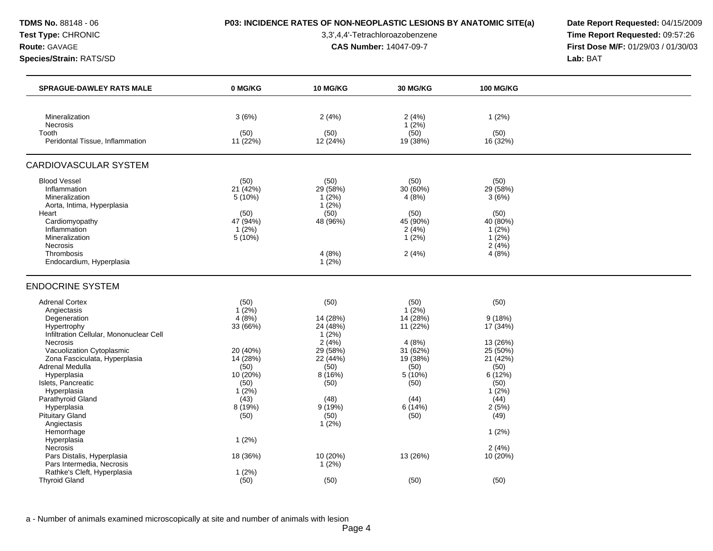## **TDMS No.** 88148 - 06 **P03: INCIDENCE RATES OF NON-NEOPLASTIC LESIONS BY ANATOMIC SITE(a) Date Report Requested:** 04/15/2009

**Test Type:** CHRONIC 3,3',4,4'-Tetrachloroazobenzene **Time Report Requested:** 09:57:26 **Route:** GAVAGE **CAS Number:** 14047-09-7 **First Dose M/F:** 01/29/03 / 01/30/03

| <b>SPRAGUE-DAWLEY RATS MALE</b>                            | 0 MG/KG          | <b>10 MG/KG</b>  | <b>30 MG/KG</b>  | <b>100 MG/KG</b> |  |
|------------------------------------------------------------|------------------|------------------|------------------|------------------|--|
|                                                            |                  |                  |                  |                  |  |
| Mineralization                                             | 3(6%)            | 2(4%)            | 2(4%)            | 1(2%)            |  |
| <b>Necrosis</b><br>Tooth                                   | (50)             | (50)             | $1(2\%)$<br>(50) | (50)             |  |
| Peridontal Tissue, Inflammation                            | 11 (22%)         | 12 (24%)         | 19 (38%)         | 16 (32%)         |  |
| <b>CARDIOVASCULAR SYSTEM</b>                               |                  |                  |                  |                  |  |
| <b>Blood Vessel</b>                                        | (50)             | (50)             | (50)             | (50)             |  |
| Inflammation                                               | 21 (42%)         | 29 (58%)         | 30 (60%)         | 29 (58%)         |  |
| Mineralization                                             | 5(10%)           | 1(2%)            | 4(8%)            | 3(6%)            |  |
| Aorta, Intima, Hyperplasia                                 |                  | $1(2\%)$<br>(50) |                  |                  |  |
| Heart<br>Cardiomyopathy                                    | (50)<br>47 (94%) | 48 (96%)         | (50)<br>45 (90%) | (50)<br>40 (80%) |  |
| Inflammation                                               | $1(2\%)$         |                  | 2(4%)            | $1(2\%)$         |  |
| Mineralization                                             | 5(10%)           |                  | $1(2\%)$         | $1(2\%)$         |  |
| <b>Necrosis</b>                                            |                  |                  |                  | 2(4%)            |  |
| Thrombosis                                                 |                  | 4(8%)            | 2(4%)            | 4(8%)            |  |
| Endocardium, Hyperplasia                                   |                  | $1(2\%)$         |                  |                  |  |
| <b>ENDOCRINE SYSTEM</b>                                    |                  |                  |                  |                  |  |
| <b>Adrenal Cortex</b>                                      | (50)             | (50)             | (50)             | (50)             |  |
| Angiectasis                                                | $1(2\%)$         |                  | $1(2\%)$         |                  |  |
| Degeneration                                               | 4(8%)            | 14 (28%)         | 14 (28%)         | 9(18%)           |  |
| Hypertrophy                                                | 33 (66%)         | 24 (48%)         | 11 (22%)         | 17 (34%)         |  |
| Infiltration Cellular, Mononuclear Cell<br><b>Necrosis</b> |                  | 1(2%)<br>2(4%)   |                  | 13 (26%)         |  |
| Vacuolization Cytoplasmic                                  | 20 (40%)         | 29 (58%)         | 4(8%)<br>31(62%) | 25 (50%)         |  |
| Zona Fasciculata, Hyperplasia                              | 14 (28%)         | 22 (44%)         | 19 (38%)         | 21 (42%)         |  |
| Adrenal Medulla                                            | (50)             | (50)             | (50)             | (50)             |  |
| Hyperplasia                                                | 10 (20%)         | 8 (16%)          | 5 (10%)          | 6(12%)           |  |
| Islets, Pancreatic                                         | (50)             | (50)             | (50)             | (50)             |  |
| Hyperplasia                                                | 1(2%)            |                  |                  | 1(2%)            |  |
| Parathyroid Gland                                          | (43)             | (48)             | (44)             | (44)             |  |
| Hyperplasia                                                | 8(19%)           | 9(19%)           | 6(14%)           | 2(5%)            |  |
| <b>Pituitary Gland</b>                                     | (50)             | (50)             | (50)             | (49)             |  |
| Angiectasis                                                |                  | 1(2%)            |                  |                  |  |
| Hemorrhage                                                 |                  |                  |                  | $1(2\%)$         |  |
| Hyperplasia                                                | $1(2\%)$         |                  |                  |                  |  |
| Necrosis                                                   |                  |                  |                  | 2(4%)            |  |
| Pars Distalis, Hyperplasia                                 | 18 (36%)         | 10 (20%)         | 13 (26%)         | 10 (20%)         |  |
| Pars Intermedia, Necrosis                                  |                  | 1(2%)            |                  |                  |  |
| Rathke's Cleft, Hyperplasia                                | 1(2%)            |                  |                  |                  |  |
| <b>Thyroid Gland</b>                                       | (50)             | (50)             | (50)             | (50)             |  |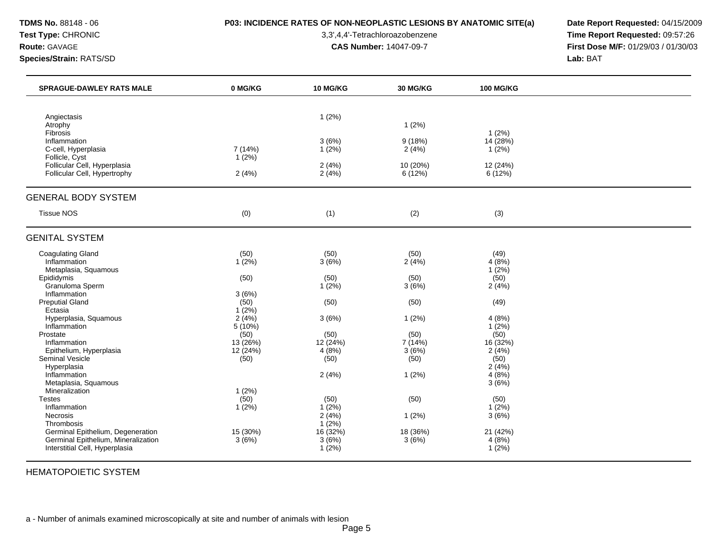## **TDMS No.** 88148 - 06 **P03: INCIDENCE RATES OF NON-NEOPLASTIC LESIONS BY ANATOMIC SITE(a) Date Report Requested:** 04/15/2009

**Test Type:** CHRONIC 3,3',4,4'-Tetrachloroazobenzene **Time Report Requested:** 09:57:26 **Route:** GAVAGE **CAS Number:** 14047-09-7 **First Dose M/F:** 01/29/03 / 01/30/03

| <b>SPRAGUE-DAWLEY RATS MALE</b>                                                                            | 0 MG/KG                  | <b>10 MG/KG</b>            | <b>30 MG/KG</b>     | <b>100 MG/KG</b>           |  |
|------------------------------------------------------------------------------------------------------------|--------------------------|----------------------------|---------------------|----------------------------|--|
|                                                                                                            |                          |                            |                     |                            |  |
| Angiectasis<br>Atrophy<br>Fibrosis                                                                         |                          | 1(2%)                      | 1(2%)               | 1(2%)                      |  |
| Inflammation<br>C-cell, Hyperplasia                                                                        | 7 (14%)                  | 3(6%)<br>1(2%)             | 9(18%)<br>2(4%)     | 14(28%)<br>1(2%)           |  |
| Follicle, Cyst<br>Follicular Cell, Hyperplasia<br>Follicular Cell, Hypertrophy                             | 1(2%)<br>2(4%)           | 2(4%)<br>2(4%)             | 10 (20%)<br>6 (12%) | 12 (24%)<br>6(12%)         |  |
| <b>GENERAL BODY SYSTEM</b>                                                                                 |                          |                            |                     |                            |  |
| <b>Tissue NOS</b>                                                                                          | (0)                      | (1)                        | (2)                 | (3)                        |  |
| <b>GENITAL SYSTEM</b>                                                                                      |                          |                            |                     |                            |  |
| <b>Coagulating Gland</b><br>Inflammation<br>Metaplasia, Squamous                                           | (50)<br>1(2%)            | (50)<br>3(6%)              | (50)<br>2(4%)       | (49)<br>4(8%)<br>$1(2\%)$  |  |
| Epididymis<br>Granuloma Sperm<br>Inflammation                                                              | (50)                     | (50)<br>1(2%)              | (50)<br>3(6%)       | (50)<br>2(4%)              |  |
| <b>Preputial Gland</b><br>Ectasia                                                                          | 3(6%)<br>(50)<br>1(2%)   | (50)                       | (50)                | (49)                       |  |
| Hyperplasia, Squamous<br>Inflammation<br>Prostate                                                          | 2(4%)<br>5 (10%)<br>(50) | 3(6%)<br>(50)              | 1(2%)<br>(50)       | 4(8%)<br>$1(2\%)$<br>(50)  |  |
| Inflammation<br>Epithelium, Hyperplasia                                                                    | 13 (26%)<br>12(24%)      | 12 (24%)<br>4(8%)          | 7 (14%)<br>3(6%)    | 16 (32%)<br>2(4%)          |  |
| <b>Seminal Vesicle</b><br>Hyperplasia<br>Inflammation                                                      | (50)                     | (50)<br>2(4%)              | (50)<br>1(2%)       | (50)<br>2(4%)<br>4(8%)     |  |
| Metaplasia, Squamous<br>Mineralization<br><b>Testes</b>                                                    | 1(2%)<br>(50)            | (50)                       | (50)                | 3(6%)<br>(50)              |  |
| Inflammation<br>Necrosis<br>Thrombosis                                                                     | 1(2%)                    | $1(2\%)$<br>2(4%)<br>1(2%) | 1(2%)               | $1(2\%)$<br>3(6%)          |  |
| Germinal Epithelium, Degeneration<br>Germinal Epithelium, Mineralization<br>Interstitial Cell, Hyperplasia | 15 (30%)<br>3(6%)        | 16(32%)<br>3(6%)<br>1(2%)  | 18 (36%)<br>3(6%)   | 21 (42%)<br>4(8%)<br>1(2%) |  |

HEMATOPOIETIC SYSTEM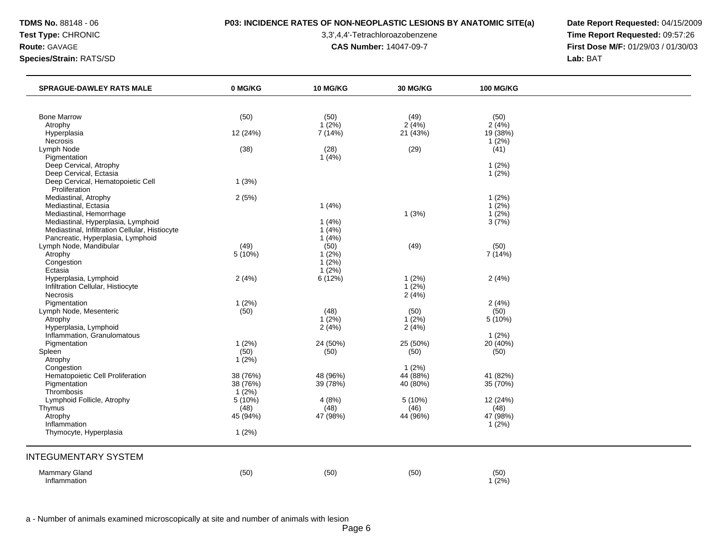## **TDMS No.** 88148 - 06 **P03: INCIDENCE RATES OF NON-NEOPLASTIC LESIONS BY ANATOMIC SITE(a) Date Report Requested:** 04/15/2009

**Test Type:** CHRONIC 3,3',4,4'-Tetrachloroazobenzene **Time Report Requested:** 09:57:26 **Route:** GAVAGE **CAS Number:** 14047-09-7 **First Dose M/F:** 01/29/03 / 01/30/03

| <b>SPRAGUE-DAWLEY RATS MALE</b>                      | 0 MG/KG               | 10 MG/KG             | 30 MG/KG          | <b>100 MG/KG</b>  |  |
|------------------------------------------------------|-----------------------|----------------------|-------------------|-------------------|--|
|                                                      |                       |                      |                   |                   |  |
| <b>Bone Marrow</b>                                   | (50)                  | (50)                 | (49)              | (50)              |  |
| Atrophy<br>Hyperplasia                               | 12 (24%)              | $1(2\%)$<br>7 (14%)  | 2(4%)<br>21 (43%) | 2(4%)<br>19 (38%) |  |
| Necrosis                                             |                       |                      |                   | 1(2%)             |  |
| Lymph Node                                           | (38)                  | (28)                 | (29)              | (41)              |  |
| Pigmentation                                         |                       | 1(4%)                |                   |                   |  |
| Deep Cervical, Atrophy                               |                       |                      |                   | 1(2%)             |  |
| Deep Cervical, Ectasia                               |                       |                      |                   | $1(2\%)$          |  |
| Deep Cervical, Hematopoietic Cell<br>Proliferation   | 1(3%)                 |                      |                   |                   |  |
| Mediastinal, Atrophy                                 | 2(5%)                 |                      |                   | 1(2%)             |  |
| Mediastinal, Ectasia                                 |                       | 1(4%)                |                   | $1(2\%)$          |  |
| Mediastinal, Hemorrhage                              |                       |                      | 1(3%)             | $1(2\%)$          |  |
| Mediastinal, Hyperplasia, Lymphoid                   |                       | 1(4%)                |                   | 3(7%)             |  |
| Mediastinal, Infiltration Cellular, Histiocyte       |                       | 1(4%)                |                   |                   |  |
| Pancreatic, Hyperplasia, Lymphoid                    |                       | 1(4%)                |                   |                   |  |
| Lymph Node, Mandibular                               | (49)                  | (50)                 | (49)              | (50)              |  |
| Atrophy                                              | 5 (10%)               | 1(2%)                |                   | 7(14%)            |  |
| Congestion<br>Ectasia                                |                       | $1(2\%)$<br>$1(2\%)$ |                   |                   |  |
| Hyperplasia, Lymphoid                                | 2(4%)                 | 6(12%)               | 1(2%)             | 2(4%)             |  |
| Infiltration Cellular, Histiocyte                    |                       |                      | $1(2\%)$          |                   |  |
| Necrosis                                             |                       |                      | 2(4%)             |                   |  |
| Pigmentation                                         | 1(2%)                 |                      |                   | 2(4%)             |  |
| Lymph Node, Mesenteric                               | (50)                  | (48)                 | (50)              | (50)              |  |
| Atrophy                                              |                       | $1(2\%)$             | $1(2\%)$          | 5 (10%)           |  |
| Hyperplasia, Lymphoid<br>Inflammation, Granulomatous |                       | 2(4%)                | 2(4%)             | 1(2%)             |  |
| Pigmentation                                         | 1(2%)                 | 24 (50%)             | 25 (50%)          | 20(40%)           |  |
| Spleen                                               | (50)                  | (50)                 | (50)              | (50)              |  |
| Atrophy                                              | 1(2%)                 |                      |                   |                   |  |
| Congestion                                           |                       |                      | 1(2%)             |                   |  |
| Hematopoietic Cell Proliferation                     | 38 (76%)              | 48 (96%)             | 44 (88%)          | 41 (82%)          |  |
| Pigmentation                                         | 38 (76%)              | 39 (78%)             | 40 (80%)          | 35 (70%)          |  |
| Thrombosis<br>Lymphoid Follicle, Atrophy             | $1(2\%)$<br>$5(10\%)$ | 4(8%)                | 5 (10%)           | 12 (24%)          |  |
| Thymus                                               | (48)                  | (48)                 | (46)              | (48)              |  |
| Atrophy                                              | 45 (94%)              | 47 (98%)             | 44 (96%)          | 47 (98%)          |  |
| Inflammation                                         |                       |                      |                   | $1(2\%)$          |  |
| Thymocyte, Hyperplasia                               | 1(2%)                 |                      |                   |                   |  |
| <b>INTEGUMENTARY SYSTEM</b>                          |                       |                      |                   |                   |  |
| <b>Mammary Gland</b>                                 | (50)                  | (50)                 | (50)              | (50)              |  |
| Inflammation                                         |                       |                      |                   | $1(2\%)$          |  |
|                                                      |                       |                      |                   |                   |  |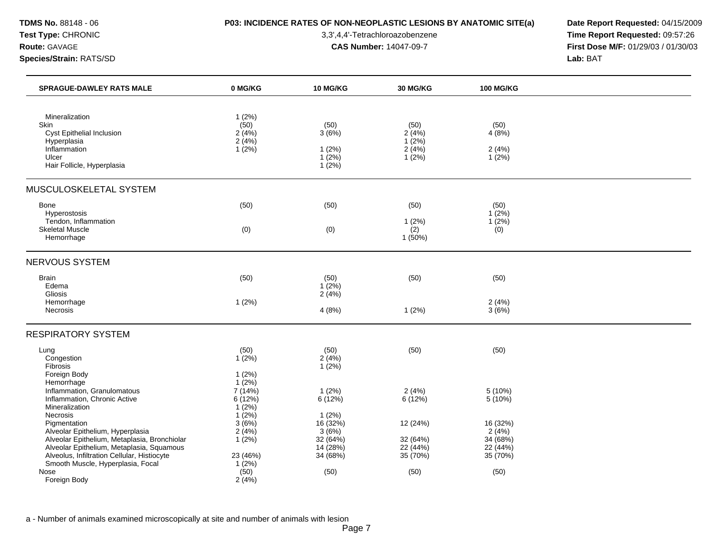## **TDMS No.** 88148 - 06 **P03: INCIDENCE RATES OF NON-NEOPLASTIC LESIONS BY ANATOMIC SITE(a) Date Report Requested:** 04/15/2009

**Test Type:** CHRONIC 3,3',4,4'-Tetrachloroazobenzene **Time Report Requested:** 09:57:26 **Route:** GAVAGE **CAS Number:** 14047-09-7 **First Dose M/F:** 01/29/03 / 01/30/03

| <b>SPRAGUE-DAWLEY RATS MALE</b>                                                                                                               | 0 MG/KG                                         | 10 MG/KG                                       | 30 MG/KG                                    | <b>100 MG/KG</b>                          |  |
|-----------------------------------------------------------------------------------------------------------------------------------------------|-------------------------------------------------|------------------------------------------------|---------------------------------------------|-------------------------------------------|--|
| Mineralization<br>Skin<br>Cyst Epithelial Inclusion<br>Hyperplasia<br>Inflammation<br>Ulcer<br>Hair Follicle, Hyperplasia                     | 1(2%)<br>(50)<br>2(4%)<br>2(4%)<br>$1(2\%)$     | (50)<br>3(6%)<br>1(2%)<br>$1(2\%)$<br>$1(2\%)$ | (50)<br>2(4%)<br>$1(2\%)$<br>2(4%)<br>1(2%) | (50)<br>4(8%)<br>2(4%)<br>$1(2\%)$        |  |
| MUSCULOSKELETAL SYSTEM                                                                                                                        |                                                 |                                                |                                             |                                           |  |
| Bone<br>Hyperostosis                                                                                                                          | (50)                                            | (50)                                           | (50)                                        | (50)<br>$1(2\%)$                          |  |
| Tendon, Inflammation<br><b>Skeletal Muscle</b><br>Hemorrhage                                                                                  | (0)                                             | (0)                                            | 1(2%)<br>(2)<br>1(50%)                      | 1(2%)<br>(0)                              |  |
| <b>NERVOUS SYSTEM</b>                                                                                                                         |                                                 |                                                |                                             |                                           |  |
| <b>Brain</b><br>Edema<br>Gliosis                                                                                                              | (50)                                            | (50)<br>$1(2\%)$<br>2(4%)                      | (50)                                        | (50)                                      |  |
| Hemorrhage<br>Necrosis                                                                                                                        | 1(2%)                                           | 4(8%)                                          | 1(2%)                                       | 2(4%)<br>3(6%)                            |  |
| <b>RESPIRATORY SYSTEM</b>                                                                                                                     |                                                 |                                                |                                             |                                           |  |
| Lung<br>Congestion<br><b>Fibrosis</b><br>Foreign Body                                                                                         | (50)<br>$1(2\%)$<br>1(2%)                       | (50)<br>2(4%)<br>1(2%)                         | (50)                                        | (50)                                      |  |
| Hemorrhage<br>Inflammation, Granulomatous<br>Inflammation, Chronic Active<br>Mineralization<br>Necrosis                                       | 1(2%)<br>7 (14%)<br>6(12%)<br>$1(2\%)$<br>1(2%) | 1(2%)<br>6(12%)<br>1(2%)                       | 2(4%)<br>6(12%)                             | 5 (10%)<br>5 (10%)                        |  |
| Pigmentation<br>Alveolar Epithelium, Hyperplasia<br>Alveolar Epithelium, Metaplasia, Bronchiolar<br>Alveolar Epithelium, Metaplasia, Squamous | 3(6%)<br>2(4%)<br>$1(2\%)$                      | 16(32%)<br>3(6%)<br>32(64%)<br>14(28%)         | 12 (24%)<br>32 (64%)<br>22(44%)             | 16 (32%)<br>2(4%)<br>34 (68%)<br>22 (44%) |  |
| Alveolus, Infiltration Cellular, Histiocyte<br>Smooth Muscle, Hyperplasia, Focal                                                              | 23 (46%)<br>1(2%)                               | 34 (68%)                                       | 35 (70%)                                    | 35 (70%)                                  |  |
| Nose<br>Foreign Body                                                                                                                          | (50)<br>2(4%)                                   | (50)                                           | (50)                                        | (50)                                      |  |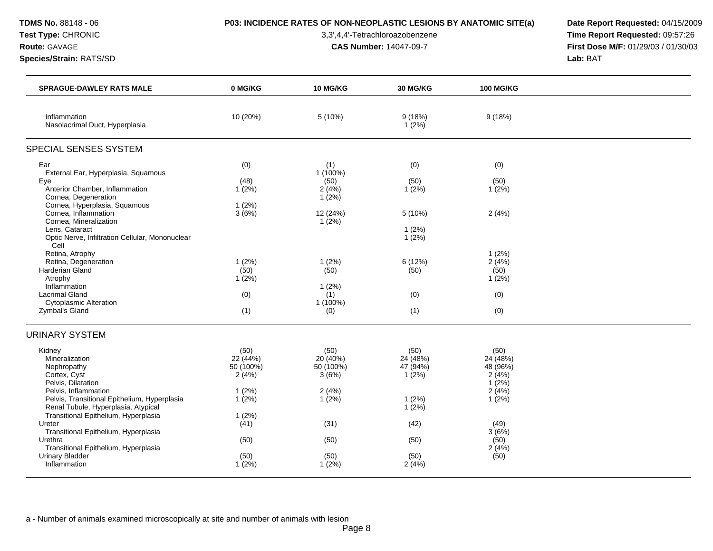## **TDMS No.** 88148 - 06 **P03: INCIDENCE RATES OF NON-NEOPLASTIC LESIONS BY ANATOMIC SITE(a) Date Report Requested:** 04/15/2009

**Test Type:** CHRONIC 3,3',4,4'-Tetrachloroazobenzene **Time Report Requested:** 09:57:26 **Route:** GAVAGE **CAS Number:** 14047-09-7 **First Dose M/F:** 01/29/03 / 01/30/03

| <b>SPRAGUE-DAWLEY RATS MALE</b>                                                                                                                                                                                                                                                                                                                                                                                                                  | 0 MG/KG                                                                                            | 10 MG/KG                                                                                                                    | 30 MG/KG                                                                                 | <b>100 MG/KG</b>                                                                                              |  |
|--------------------------------------------------------------------------------------------------------------------------------------------------------------------------------------------------------------------------------------------------------------------------------------------------------------------------------------------------------------------------------------------------------------------------------------------------|----------------------------------------------------------------------------------------------------|-----------------------------------------------------------------------------------------------------------------------------|------------------------------------------------------------------------------------------|---------------------------------------------------------------------------------------------------------------|--|
| Inflammation<br>Nasolacrimal Duct, Hyperplasia                                                                                                                                                                                                                                                                                                                                                                                                   | 10 (20%)                                                                                           | 5 (10%)                                                                                                                     | 9(18%)<br>1(2%)                                                                          | 9(18%)                                                                                                        |  |
| SPECIAL SENSES SYSTEM                                                                                                                                                                                                                                                                                                                                                                                                                            |                                                                                                    |                                                                                                                             |                                                                                          |                                                                                                               |  |
| Ear<br>External Ear, Hyperplasia, Squamous<br>Eye<br>Anterior Chamber, Inflammation<br>Cornea, Degeneration<br>Cornea, Hyperplasia, Squamous<br>Cornea, Inflammation<br>Cornea, Mineralization<br>Lens, Cataract<br>Optic Nerve, Infiltration Cellular, Mononuclear<br>Cell<br>Retina, Atrophy<br>Retina, Degeneration<br>Harderian Gland<br>Atrophy<br>Inflammation<br><b>Lacrimal Gland</b><br><b>Cytoplasmic Alteration</b><br>Zymbal's Gland | (0)<br>(48)<br>1(2%)<br>1(2%)<br>3(6%)<br>1(2%)<br>(50)<br>1(2%)<br>(0)<br>(1)                     | (1)<br>1 (100%)<br>(50)<br>2(4%)<br>$1(2\%)$<br>12 (24%)<br>$1(2\%)$<br>1(2%)<br>(50)<br>$1(2\%)$<br>(1)<br>1 (100%)<br>(0) | (0)<br>(50)<br>1(2%)<br>5(10%)<br>1(2%)<br>1(2%)<br>6 (12%)<br>(50)<br>(0)<br>(1)        | (0)<br>(50)<br>1(2%)<br>2(4%)<br>1(2%)<br>2(4%)<br>(50)<br>1(2%)<br>(0)<br>(0)                                |  |
| <b>URINARY SYSTEM</b>                                                                                                                                                                                                                                                                                                                                                                                                                            |                                                                                                    |                                                                                                                             |                                                                                          |                                                                                                               |  |
| Kidney<br>Mineralization<br>Nephropathy<br>Cortex, Cyst<br>Pelvis, Dilatation<br>Pelvis, Inflammation<br>Pelvis, Transitional Epithelium, Hyperplasia<br>Renal Tubule, Hyperplasia, Atypical<br>Transitional Epithelium, Hyperplasia<br>Ureter<br>Transitional Epithelium, Hyperplasia<br>Urethra<br>Transitional Epithelium, Hyperplasia<br><b>Urinary Bladder</b><br>Inflammation                                                              | (50)<br>22 (44%)<br>50 (100%)<br>2(4%)<br>1(2%)<br>1(2%)<br>1(2%)<br>(41)<br>(50)<br>(50)<br>1(2%) | (50)<br>20 (40%)<br>50 (100%)<br>3(6%)<br>2(4%)<br>$1(2\%)$<br>(31)<br>(50)<br>(50)<br>1(2%)                                | (50)<br>24 (48%)<br>47 (94%)<br>1(2%)<br>1(2%)<br>1(2%)<br>(42)<br>(50)<br>(50)<br>2(4%) | (50)<br>24 (48%)<br>48 (96%)<br>2(4%)<br>$1(2\%)$<br>2(4%)<br>1(2%)<br>(49)<br>3(6%)<br>(50)<br>2(4%)<br>(50) |  |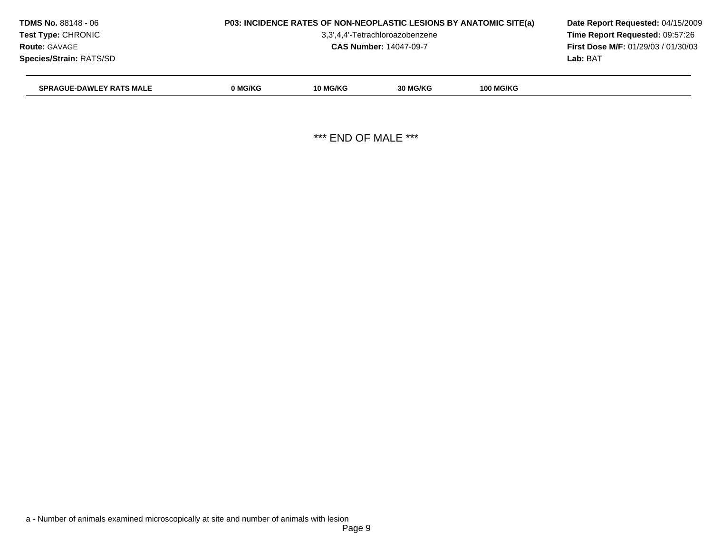| <b>TDMS No. 88148 - 06</b>      | P03: INCIDENCE RATES OF NON-NEOPLASTIC LESIONS BY ANATOMIC SITE(a) | Date Report Requested: 04/15/2009 |                                            |                  |          |  |
|---------------------------------|--------------------------------------------------------------------|-----------------------------------|--------------------------------------------|------------------|----------|--|
| <b>Test Type: CHRONIC</b>       |                                                                    | 3,3',4,4'-Tetrachloroazobenzene   |                                            |                  |          |  |
| <b>Route: GAVAGE</b>            |                                                                    | <b>CAS Number: 14047-09-7</b>     | <b>First Dose M/F: 01/29/03 / 01/30/03</b> |                  |          |  |
| <b>Species/Strain: RATS/SD</b>  |                                                                    |                                   |                                            |                  | Lab: BAT |  |
| <b>SPRAGUE-DAWLEY RATS MALE</b> | 0 MG/KG                                                            | <b>10 MG/KG</b>                   | 30 MG/KG                                   | <b>100 MG/KG</b> |          |  |

\*\*\* END OF MALE \*\*\*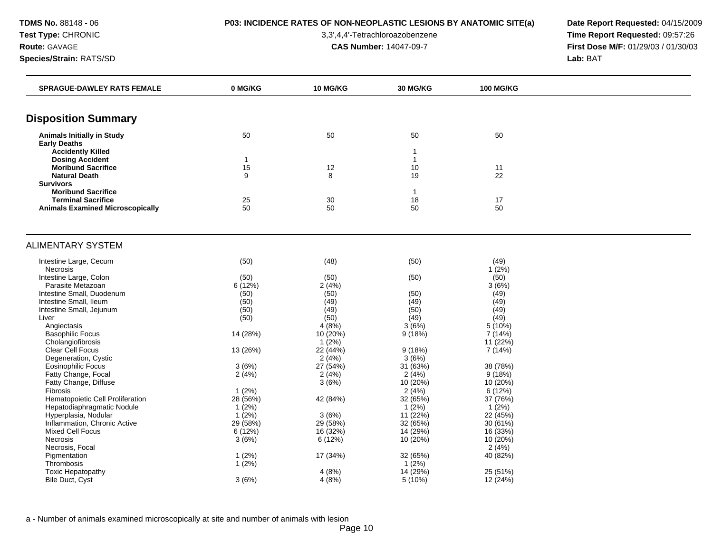# **TDMS No.** 88148 - 06 **P03: INCIDENCE RATES OF NON-NEOPLASTIC LESIONS BY ANATOMIC SITE(a) Date Report Requested:** 04/15/2009

**Test Type:** CHRONIC 3,3',4,4'-Tetrachloroazobenzene **Time Report Requested:** 09:57:26 **Route:** GAVAGE **CAS Number:** 14047-09-7 **First Dose M/F:** 01/29/03 / 01/30/03

| <b>SPRAGUE-DAWLEY RATS FEMALE</b>       | 0 MG/KG      | <b>10 MG/KG</b> | <b>30 MG/KG</b> | <b>100 MG/KG</b> |  |
|-----------------------------------------|--------------|-----------------|-----------------|------------------|--|
|                                         |              |                 |                 |                  |  |
| <b>Disposition Summary</b>              |              |                 |                 |                  |  |
| <b>Animals Initially in Study</b>       | 50           | 50              | 50              | 50               |  |
| <b>Early Deaths</b>                     |              |                 |                 |                  |  |
| <b>Accidently Killed</b>                |              |                 | $\mathbf{1}$    |                  |  |
| <b>Dosing Accident</b>                  | $\mathbf{1}$ |                 | $\mathbf{1}$    |                  |  |
| <b>Moribund Sacrifice</b>               | 15           | 12              | 10              | 11               |  |
| <b>Natural Death</b>                    | 9            | 8               | 19              | 22               |  |
| <b>Survivors</b>                        |              |                 |                 |                  |  |
| <b>Moribund Sacrifice</b>               |              |                 | $\overline{1}$  |                  |  |
| <b>Terminal Sacrifice</b>               | 25<br>50     | 30<br>50        | 18<br>50        | 17<br>50         |  |
| <b>Animals Examined Microscopically</b> |              |                 |                 |                  |  |
| <b>ALIMENTARY SYSTEM</b>                |              |                 |                 |                  |  |
|                                         |              |                 |                 |                  |  |
| Intestine Large, Cecum                  | (50)         | (48)            | (50)            | (49)             |  |
| Necrosis                                |              |                 |                 | 1(2%)            |  |
| Intestine Large, Colon                  | (50)         | (50)            | (50)            | (50)             |  |
| Parasite Metazoan                       | 6 (12%)      | 2(4%)           |                 | 3(6%)            |  |
| Intestine Small, Duodenum               | (50)         | (50)            | (50)            | (49)             |  |
| Intestine Small, Ileum                  | (50)         | (49)            | (49)            | (49)             |  |
| Intestine Small, Jejunum                | (50)         | (49)            | (50)            | (49)             |  |
| Liver                                   | (50)         | (50)            | (49)            | (49)             |  |
| Angiectasis                             |              | 4(8%)           | 3(6%)           | 5 (10%)          |  |
| <b>Basophilic Focus</b>                 | 14 (28%)     | 10 (20%)        | 9(18%)          | 7 (14%)          |  |
| Cholangiofibrosis                       |              | 1(2%)           |                 | 11 (22%)         |  |
| Clear Cell Focus                        | 13 (26%)     | 22 (44%)        | 9(18%)          | 7 (14%)          |  |
| Degeneration, Cystic                    |              | 2(4%)           | 3(6%)           |                  |  |
| <b>Eosinophilic Focus</b>               | 3(6%)        | 27 (54%)        | 31 (63%)        | 38 (78%)         |  |
| Fatty Change, Focal                     | 2(4%)        | 2(4%)           | 2(4%)           | 9(18%)           |  |
| Fatty Change, Diffuse                   |              | 3(6%)           | $10(20\%)$      | 10 (20%)         |  |
| Fibrosis                                | 1(2%)        |                 | 2(4%)           | 6 (12%)          |  |
| Hematopoietic Cell Proliferation        | 28 (56%)     | 42 (84%)        | 32 (65%)        | 37 (76%)         |  |
| Hepatodiaphragmatic Nodule              | $1(2\%)$     |                 | $1(2\%)$        | 1(2%)            |  |
| Hyperplasia, Nodular                    | $1(2\%)$     | 3(6%)           | 11 (22%)        | 22 (45%)         |  |
| Inflammation, Chronic Active            | 29 (58%)     | 29 (58%)        | 32 (65%)        | 30 (61%)         |  |
| <b>Mixed Cell Focus</b>                 | 6 (12%)      | 16 (32%)        | 14 (29%)        | 16 (33%)         |  |
| Necrosis                                | 3(6%)        | 6(12%)          | 10 (20%)        | 10 (20%)         |  |
| Necrosis, Focal                         |              |                 |                 | 2(4%)            |  |
| Pigmentation                            | 1(2%)        | 17 (34%)        | 32 (65%)        | 40 (82%)         |  |
| Thrombosis                              | 1(2%)        |                 | $1(2\%)$        |                  |  |
| <b>Toxic Hepatopathy</b>                |              | 4(8%)           | 14 (29%)        | 25 (51%)         |  |
| <b>Bile Duct, Cyst</b>                  | 3(6%)        | 4(8%)           | 5(10%)          | 12 (24%)         |  |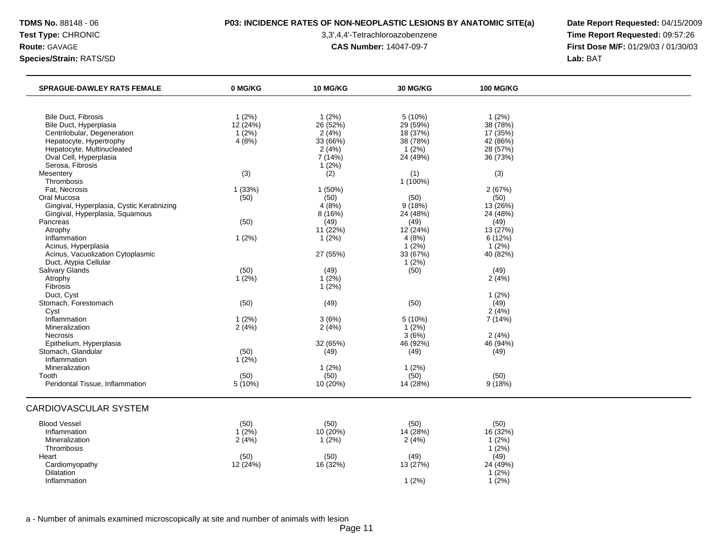## **TDMS No.** 88148 - 06 **P03: INCIDENCE RATES OF NON-NEOPLASTIC LESIONS BY ANATOMIC SITE(a) Date Report Requested:** 04/15/2009

**Test Type:** CHRONIC 3,3',4,4'-Tetrachloroazobenzene **Time Report Requested:** 09:57:26 **Route:** GAVAGE **CAS Number:** 14047-09-7 **First Dose M/F:** 01/29/03 / 01/30/03

| <b>SPRAGUE-DAWLEY RATS FEMALE</b>          | 0 MG/KG  | 10 MG/KG | 30 MG/KG   | <b>100 MG/KG</b> |  |
|--------------------------------------------|----------|----------|------------|------------------|--|
|                                            |          |          |            |                  |  |
| <b>Bile Duct, Fibrosis</b>                 | 1(2%)    | 1(2%)    | 5 (10%)    | 1(2%)            |  |
| Bile Duct, Hyperplasia                     | 12(24%)  | 26 (52%) | 29 (59%)   | 38 (78%)         |  |
| Centrilobular, Degeneration                | $1(2\%)$ | 2(4%)    | 18 (37%)   | 17 (35%)         |  |
| Hepatocyte, Hypertrophy                    | 4(8%)    | 33 (66%) | 38 (78%)   | 42 (86%)         |  |
| Hepatocyte, Multinucleated                 |          | 2(4%)    | $1(2\%)$   | 28 (57%)         |  |
| Oval Cell, Hyperplasia                     |          | 7(14%)   | 24 (49%)   | 36 (73%)         |  |
| Serosa, Fibrosis                           |          | 1(2%)    |            |                  |  |
| Mesentery                                  | (3)      | (2)      | (1)        | (3)              |  |
| Thrombosis                                 |          |          | $1(100\%)$ |                  |  |
| Fat, Necrosis                              | 1 (33%)  | 1(50%)   |            | 2(67%)           |  |
| Oral Mucosa                                | (50)     | (50)     | (50)       | (50)             |  |
| Gingival, Hyperplasia, Cystic Keratinizing |          | 4(8%)    | 9(18%)     | 13 (26%)         |  |
| Gingival, Hyperplasia, Squamous            |          | 8(16%)   | 24 (48%)   | 24 (48%)         |  |
| Pancreas                                   | (50)     | (49)     | (49)       | (49)             |  |
| Atrophy                                    |          | 11 (22%) | 12 (24%)   | 13(27%)          |  |
| Inflammation                               | 1(2%)    | $1(2\%)$ | 4(8%)      | 6(12%)           |  |
| Acinus, Hyperplasia                        |          |          | 1(2%)      | 1(2%)            |  |
| Acinus, Vacuolization Cytoplasmic          |          | 27 (55%) | 33 (67%)   | 40 (82%)         |  |
| Duct, Atypia Cellular                      |          |          | 1(2%)      |                  |  |
| Salivary Glands                            | (50)     | (49)     | (50)       | (49)             |  |
| Atrophy                                    | 1(2%)    | $1(2\%)$ |            | 2(4%)            |  |
| Fibrosis                                   |          | 1(2%)    |            |                  |  |
| Duct, Cyst                                 |          |          |            | 1(2%)            |  |
| Stomach, Forestomach                       | (50)     | (49)     | (50)       | (49)             |  |
| Cyst                                       |          |          |            | 2(4%)            |  |
| Inflammation                               | 1(2%)    | 3(6%)    | 5(10%)     | 7 (14%)          |  |
| Mineralization                             | 2(4%)    | 2(4%)    | 1(2%)      |                  |  |
| <b>Necrosis</b>                            |          |          | 3(6%)      | 2(4%)            |  |
| Epithelium, Hyperplasia                    |          | 32 (65%) | 46 (92%)   | 46 (94%)         |  |
| Stomach, Glandular                         | (50)     | (49)     | (49)       | (49)             |  |
| Inflammation                               | $1(2\%)$ |          |            |                  |  |
| Mineralization                             |          | 1(2%)    | 1(2%)      |                  |  |
| Tooth                                      | (50)     | (50)     | (50)       | (50)             |  |
| Peridontal Tissue, Inflammation            | 5 (10%)  | 10 (20%) | 14 (28%)   | 9(18%)           |  |
| CARDIOVASCULAR SYSTEM                      |          |          |            |                  |  |
|                                            |          |          |            |                  |  |
| <b>Blood Vessel</b>                        | (50)     | (50)     | (50)       | (50)             |  |
| Inflammation                               | $1(2\%)$ | 10 (20%) | 14 (28%)   | 16(32%)          |  |
| Mineralization                             | 2(4%)    | 1(2%)    | 2(4%)      | 1(2%)            |  |
| Thrombosis                                 |          |          |            | $1(2\%)$         |  |
| Heart                                      | (50)     | (50)     | (49)       | (49)             |  |
| Cardiomyopathy                             | 12 (24%) | 16 (32%) | 13 (27%)   | 24 (49%)         |  |
| Dilatation                                 |          |          |            | $1(2\%)$         |  |
| Inflammation                               |          |          | 1(2%)      | $1(2\%)$         |  |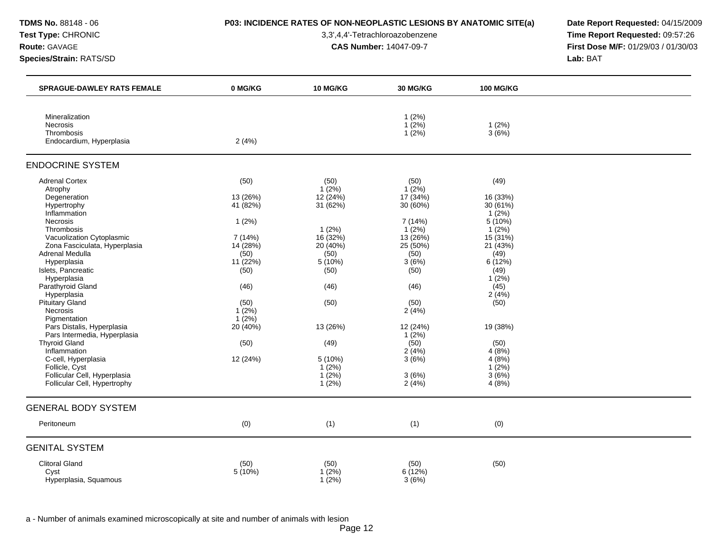## **TDMS No.** 88148 - 06 **P03: INCIDENCE RATES OF NON-NEOPLASTIC LESIONS BY ANATOMIC SITE(a) Date Report Requested:** 04/15/2009

**Test Type:** CHRONIC 3,3',4,4'-Tetrachloroazobenzene **Time Report Requested:** 09:57:26 **Route:** GAVAGE **CAS Number:** 14047-09-7 **First Dose M/F:** 01/29/03 / 01/30/03

| <b>SPRAGUE-DAWLEY RATS FEMALE</b>                    | 0 MG/KG  | <b>10 MG/KG</b> | <b>30 MG/KG</b> | <b>100 MG/KG</b>     |  |
|------------------------------------------------------|----------|-----------------|-----------------|----------------------|--|
| Mineralization                                       |          |                 | 1(2%)           |                      |  |
| <b>Necrosis</b>                                      |          |                 | $1(2\%)$        | 1(2%)                |  |
| Thrombosis                                           |          |                 | $1(2\%)$        | 3(6%)                |  |
| Endocardium, Hyperplasia                             | 2(4%)    |                 |                 |                      |  |
| <b>ENDOCRINE SYSTEM</b>                              |          |                 |                 |                      |  |
| <b>Adrenal Cortex</b>                                | (50)     | (50)            | (50)            | (49)                 |  |
| Atrophy                                              |          | $1(2\%)$        | $1(2\%)$        |                      |  |
| Degeneration                                         | 13 (26%) | 12(24%)         | 17(34%)         | 16 (33%)             |  |
| Hypertrophy<br>Inflammation                          | 41 (82%) | 31(62%)         | 30 (60%)        | 30 (61%)<br>$1(2\%)$ |  |
| <b>Necrosis</b>                                      | 1(2%)    |                 | 7 (14%)         | 5 (10%)              |  |
| Thrombosis                                           |          | 1(2%)           | 1(2%)           | $1(2\%)$             |  |
| Vacuolization Cytoplasmic                            | 7 (14%)  | $16(32\%)$      | 13 (26%)        | 15 (31%)             |  |
| Zona Fasciculata, Hyperplasia                        | 14 (28%) | 20 (40%)        | 25 (50%)        | 21 (43%)             |  |
| Adrenal Medulla                                      | (50)     | (50)            | (50)            | (49)                 |  |
| Hyperplasia                                          | 11(22%)  | 5(10%)          | 3(6%)           | 6(12%)               |  |
| Islets, Pancreatic                                   | (50)     | (50)            | (50)            | (49)                 |  |
| Hyperplasia                                          |          |                 |                 | $1(2\%)$             |  |
| Parathyroid Gland                                    | (46)     | (46)            | (46)            | (45)                 |  |
| Hyperplasia                                          |          |                 |                 | 2(4%)                |  |
| <b>Pituitary Gland</b>                               | (50)     | (50)            | (50)            | (50)                 |  |
| <b>Necrosis</b>                                      | $1(2\%)$ |                 | 2(4%)           |                      |  |
| Pigmentation                                         | $1(2\%)$ |                 |                 |                      |  |
| Pars Distalis, Hyperplasia                           | 20 (40%) | 13 (26%)        | 12 (24%)        | 19 (38%)             |  |
| Pars Intermedia, Hyperplasia<br><b>Thyroid Gland</b> |          |                 | 1(2%)<br>(50)   | (50)                 |  |
| Inflammation                                         | (50)     | (49)            | 2(4%)           | 4(8%)                |  |
| C-cell, Hyperplasia                                  | 12 (24%) | 5 (10%)         | 3(6%)           | 4(8%)                |  |
| Follicle, Cyst                                       |          | 1(2%)           |                 | $1(2\%)$             |  |
| Follicular Cell, Hyperplasia                         |          | $1(2\%)$        | 3(6%)           | 3(6%)                |  |
| Follicular Cell, Hypertrophy                         |          | $1(2\%)$        | 2(4%)           | 4(8%)                |  |
| <b>GENERAL BODY SYSTEM</b>                           |          |                 |                 |                      |  |
| Peritoneum                                           | (0)      | (1)             | (1)             | (0)                  |  |
| <b>GENITAL SYSTEM</b>                                |          |                 |                 |                      |  |
| <b>Clitoral Gland</b>                                | (50)     | (50)            | (50)            | (50)                 |  |
| Cyst                                                 | 5 (10%)  | 1(2%)           | 6(12%)          |                      |  |
| Hyperplasia, Squamous                                |          | $1(2\%)$        | 3(6%)           |                      |  |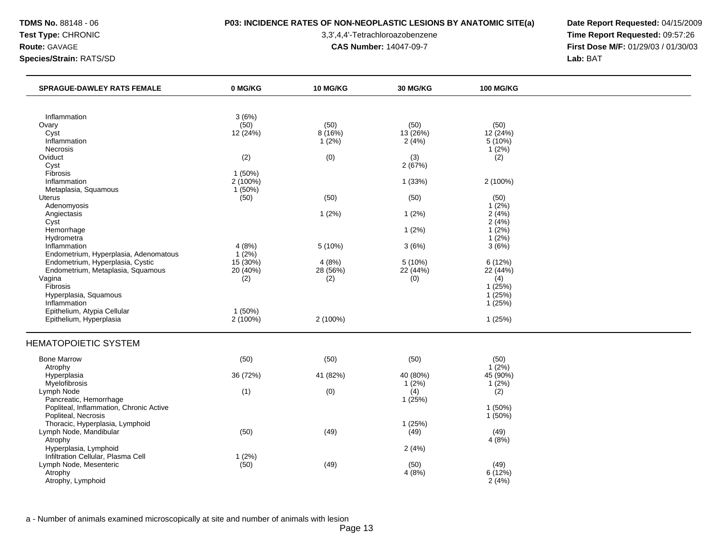## **TDMS No.** 88148 - 06 **P03: INCIDENCE RATES OF NON-NEOPLASTIC LESIONS BY ANATOMIC SITE(a) Date Report Requested:** 04/15/2009

**Test Type:** CHRONIC 3,3',4,4'-Tetrachloroazobenzene **Time Report Requested:** 09:57:26 **Route:** GAVAGE **CAS Number:** 14047-09-7 **First Dose M/F:** 01/29/03 / 01/30/03

| <b>SPRAGUE-DAWLEY RATS FEMALE</b>       | 0 MG/KG    | <b>10 MG/KG</b> | 30 MG/KG | <b>100 MG/KG</b> |  |
|-----------------------------------------|------------|-----------------|----------|------------------|--|
|                                         |            |                 |          |                  |  |
| Inflammation                            | 3(6%)      |                 |          |                  |  |
| Ovary                                   | (50)       | (50)            | (50)     | (50)             |  |
| Cyst                                    | 12 (24%)   | 8(16%)          | 13 (26%) | 12 (24%)         |  |
| Inflammation                            |            | 1(2%)           | 2(4%)    | 5(10%)           |  |
| Necrosis                                |            |                 |          | 1(2%)            |  |
| Oviduct                                 | (2)        | (0)             | (3)      | (2)              |  |
| Cyst                                    |            |                 | 2(67%)   |                  |  |
| Fibrosis                                | 1(50%)     |                 |          |                  |  |
| Inflammation                            | 2 (100%)   |                 | 1(33%)   | 2 (100%)         |  |
| Metaplasia, Squamous                    | 1(50%)     |                 |          |                  |  |
| Uterus                                  | (50)       | (50)            | (50)     | (50)             |  |
| Adenomyosis                             |            |                 |          | $1(2\%)$         |  |
| Angiectasis                             |            | 1(2%)           | $1(2\%)$ | 2(4%)            |  |
| Cyst                                    |            |                 |          | 2(4%)            |  |
| Hemorrhage                              |            |                 | 1(2%)    | 1(2%)            |  |
| Hydrometra                              |            |                 |          | 1(2%)            |  |
| Inflammation                            | 4(8%)      | 5(10%)          | 3(6%)    | 3(6%)            |  |
| Endometrium, Hyperplasia, Adenomatous   | 1(2%)      |                 |          |                  |  |
| Endometrium, Hyperplasia, Cystic        | $15(30\%)$ | 4(8%)           | 5(10%)   | 6(12%)           |  |
| Endometrium, Metaplasia, Squamous       | 20 (40%)   | 28 (56%)        | 22 (44%) | 22 (44%)         |  |
| Vagina                                  | (2)        | (2)             | (0)      | (4)              |  |
| Fibrosis                                |            |                 |          | 1(25%)           |  |
| Hyperplasia, Squamous                   |            |                 |          | 1(25%)           |  |
| Inflammation                            |            |                 |          | 1(25%)           |  |
| Epithelium, Atypia Cellular             | 1(50%)     |                 |          |                  |  |
| Epithelium, Hyperplasia                 | 2 (100%)   | 2 (100%)        |          | 1(25%)           |  |
| <b>HEMATOPOIETIC SYSTEM</b>             |            |                 |          |                  |  |
| <b>Bone Marrow</b>                      | (50)       | (50)            | (50)     | (50)             |  |
| Atrophy                                 |            |                 |          | $1(2\%)$         |  |
| Hyperplasia                             | 36 (72%)   | 41 (82%)        | 40 (80%) | 45 (90%)         |  |
| Myelofibrosis                           |            |                 | $1(2\%)$ | $1(2\%)$         |  |
| Lymph Node                              | (1)        | (0)             | (4)      | (2)              |  |
| Pancreatic, Hemorrhage                  |            |                 | 1(25%)   |                  |  |
| Popliteal, Inflammation, Chronic Active |            |                 |          | 1 (50%)          |  |
| Popliteal, Necrosis                     |            |                 |          | 1(50%)           |  |
| Thoracic, Hyperplasia, Lymphoid         |            |                 | 1(25%)   |                  |  |
| Lymph Node, Mandibular                  | (50)       | (49)            | (49)     | (49)             |  |
| Atrophy                                 |            |                 |          | 4(8%)            |  |
| Hyperplasia, Lymphoid                   |            |                 | 2(4%)    |                  |  |
| Infiltration Cellular, Plasma Cell      | 1(2%)      |                 |          |                  |  |
| Lymph Node, Mesenteric                  | (50)       | (49)            | (50)     | (49)             |  |
| Atrophy                                 |            |                 | 4(8%)    | 6(12%)           |  |
| Atrophy, Lymphoid                       |            |                 |          | 2(4%)            |  |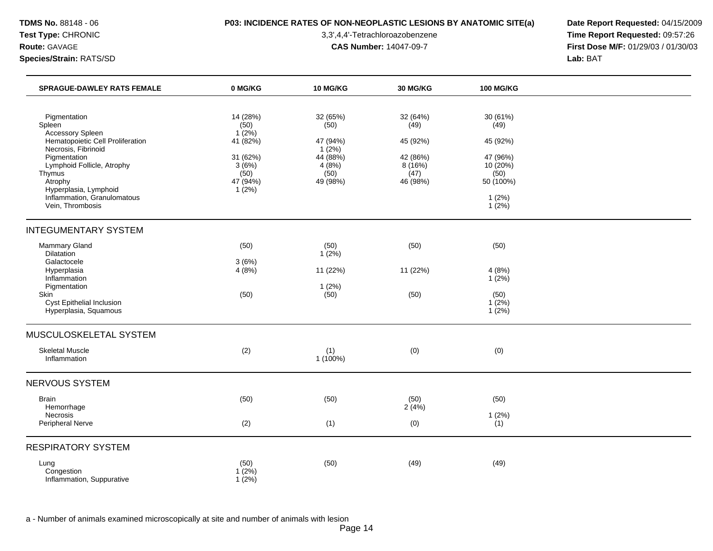## **TDMS No.** 88148 - 06 **P03: INCIDENCE RATES OF NON-NEOPLASTIC LESIONS BY ANATOMIC SITE(a) Date Report Requested:** 04/15/2009

**Test Type:** CHRONIC 3,3',4,4'-Tetrachloroazobenzene **Time Report Requested:** 09:57:26 **Route:** GAVAGE **CAS Number:** 14047-09-7 **First Dose M/F:** 01/29/03 / 01/30/03

| <b>SPRAGUE-DAWLEY RATS FEMALE</b>                                                                                                                                                                                                                    | 0 MG/KG                                                                                         | <b>10 MG/KG</b>                                                                | <b>30 MG/KG</b>                                                        | <b>100 MG/KG</b>                                                                               |  |
|------------------------------------------------------------------------------------------------------------------------------------------------------------------------------------------------------------------------------------------------------|-------------------------------------------------------------------------------------------------|--------------------------------------------------------------------------------|------------------------------------------------------------------------|------------------------------------------------------------------------------------------------|--|
| Pigmentation<br>Spleen<br>Accessory Spleen<br>Hematopoietic Cell Proliferation<br>Necrosis, Fibrinoid<br>Pigmentation<br>Lymphoid Follicle, Atrophy<br>Thymus<br>Atrophy<br>Hyperplasia, Lymphoid<br>Inflammation, Granulomatous<br>Vein, Thrombosis | 14 (28%)<br>(50)<br>$1(2\%)$<br>41 $(82%)$<br>31 (62%)<br>3(6%)<br>(50)<br>47 (94%)<br>$1(2\%)$ | 32 (65%)<br>(50)<br>47 (94%)<br>1(2%)<br>44 (88%)<br>4(8%)<br>(50)<br>49 (98%) | 32 (64%)<br>(49)<br>45 (92%)<br>42 (86%)<br>8(16%)<br>(47)<br>46 (98%) | 30 (61%)<br>(49)<br>45 (92%)<br>47 (96%)<br>10 (20%)<br>(50)<br>50 (100%)<br>1(2%)<br>$1(2\%)$ |  |
| <b>INTEGUMENTARY SYSTEM</b>                                                                                                                                                                                                                          |                                                                                                 |                                                                                |                                                                        |                                                                                                |  |
| Mammary Gland<br><b>Dilatation</b>                                                                                                                                                                                                                   | (50)                                                                                            | (50)<br>1(2%)                                                                  | (50)                                                                   | (50)                                                                                           |  |
| Galactocele<br>Hyperplasia<br>Inflammation                                                                                                                                                                                                           | 3(6%)<br>4(8%)                                                                                  | 11 (22%)                                                                       | 11 (22%)                                                               | 4(8%)<br>1(2%)                                                                                 |  |
| Pigmentation<br>Skin<br>Cyst Epithelial Inclusion<br>Hyperplasia, Squamous                                                                                                                                                                           | (50)                                                                                            | 1(2%)<br>(50)                                                                  | (50)                                                                   | (50)<br>$1(2\%)$<br>1(2%)                                                                      |  |
| MUSCULOSKELETAL SYSTEM                                                                                                                                                                                                                               |                                                                                                 |                                                                                |                                                                        |                                                                                                |  |
| <b>Skeletal Muscle</b><br>Inflammation                                                                                                                                                                                                               | (2)                                                                                             | (1)<br>1 (100%)                                                                | (0)                                                                    | (0)                                                                                            |  |
| NERVOUS SYSTEM                                                                                                                                                                                                                                       |                                                                                                 |                                                                                |                                                                        |                                                                                                |  |
| <b>Brain</b><br>Hemorrhage<br>Necrosis                                                                                                                                                                                                               | (50)                                                                                            | (50)                                                                           | (50)<br>2(4%)                                                          | (50)<br>1(2%)                                                                                  |  |
| Peripheral Nerve                                                                                                                                                                                                                                     | (2)                                                                                             | (1)                                                                            | (0)                                                                    | (1)                                                                                            |  |
| <b>RESPIRATORY SYSTEM</b>                                                                                                                                                                                                                            |                                                                                                 |                                                                                |                                                                        |                                                                                                |  |
| Lung<br>Congestion<br>Inflammation, Suppurative                                                                                                                                                                                                      | (50)<br>$1(2\%)$<br>$1(2\%)$                                                                    | (50)                                                                           | (49)                                                                   | (49)                                                                                           |  |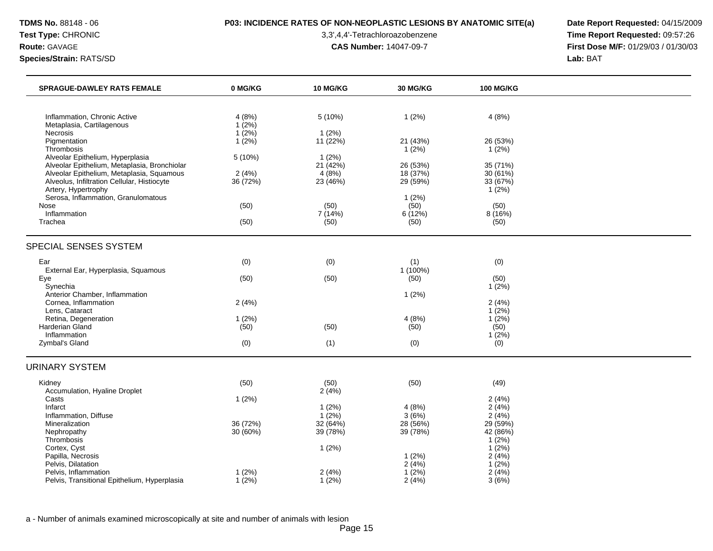## **TDMS No.** 88148 - 06 **P03: INCIDENCE RATES OF NON-NEOPLASTIC LESIONS BY ANATOMIC SITE(a) Date Report Requested:** 04/15/2009

**Test Type:** CHRONIC 3,3',4,4'-Tetrachloroazobenzene **Time Report Requested:** 09:57:26 **Route:** GAVAGE **CAS Number:** 14047-09-7 **First Dose M/F:** 01/29/03 / 01/30/03

| <b>SPRAGUE-DAWLEY RATS FEMALE</b>                                                         | 0 MG/KG           | <b>10 MG/KG</b>      | <b>30 MG/KG</b>      | <b>100 MG/KG</b>     |  |
|-------------------------------------------------------------------------------------------|-------------------|----------------------|----------------------|----------------------|--|
|                                                                                           |                   |                      |                      |                      |  |
| Inflammation, Chronic Active                                                              | 4(8%)             | 5 (10%)              | 1(2%)                | 4(8%)                |  |
| Metaplasia, Cartilagenous<br>Necrosis                                                     | 1(2%)<br>$1(2\%)$ | $1(2\%)$             |                      |                      |  |
| Pigmentation                                                                              | $1(2\%)$          | 11 (22%)             | 21 (43%)             | 26 (53%)             |  |
| Thrombosis                                                                                |                   |                      | 1(2%)                | 1(2%)                |  |
| Alveolar Epithelium, Hyperplasia                                                          | 5(10%)            | 1(2%)<br>21(42%)     |                      |                      |  |
| Alveolar Epithelium, Metaplasia, Bronchiolar<br>Alveolar Epithelium, Metaplasia, Squamous | 2(4%)             | 4(8%)                | 26 (53%)<br>18 (37%) | 35 (71%)<br>30 (61%) |  |
| Alveolus, Infiltration Cellular, Histiocyte                                               | 36 (72%)          | 23 (46%)             | 29 (59%)             | 33 (67%)             |  |
| Artery, Hypertrophy                                                                       |                   |                      |                      | 1(2%)                |  |
| Serosa, Inflammation, Granulomatous<br>Nose                                               | (50)              | (50)                 | 1(2%)<br>(50)        | (50)                 |  |
| Inflammation                                                                              |                   | 7 (14%)              | 6(12%)               | 8 (16%)              |  |
| Trachea                                                                                   | (50)              | (50)                 | (50)                 | (50)                 |  |
| SPECIAL SENSES SYSTEM                                                                     |                   |                      |                      |                      |  |
| Ear                                                                                       | (0)               | (0)                  | (1)                  | (0)                  |  |
| External Ear, Hyperplasia, Squamous                                                       |                   |                      | $1(100\%)$           |                      |  |
| Eye<br>Synechia                                                                           | (50)              | (50)                 | (50)                 | (50)<br>$1(2\%)$     |  |
| Anterior Chamber, Inflammation                                                            |                   |                      | 1(2%)                |                      |  |
| Cornea, Inflammation                                                                      | 2(4%)             |                      |                      | 2(4%)                |  |
| Lens, Cataract                                                                            |                   |                      |                      | 1(2%)                |  |
| Retina, Degeneration<br><b>Harderian Gland</b>                                            | 1(2%)<br>(50)     | (50)                 | 4(8%)<br>(50)        | 1(2%)<br>(50)        |  |
| Inflammation                                                                              |                   |                      |                      | 1(2%)                |  |
| Zymbal's Gland                                                                            | (0)               | (1)                  | (0)                  | (0)                  |  |
| <b>URINARY SYSTEM</b>                                                                     |                   |                      |                      |                      |  |
| Kidney                                                                                    | (50)              | (50)                 | (50)                 | (49)                 |  |
| Accumulation, Hyaline Droplet                                                             |                   | 2(4%)                |                      |                      |  |
| Casts                                                                                     | 1(2%)             |                      |                      | 2(4%)                |  |
| Infarct<br>Inflammation, Diffuse                                                          |                   | $1(2\%)$<br>$1(2\%)$ | 4(8%)<br>3(6%)       | 2(4%)<br>2(4%)       |  |
| Mineralization                                                                            | 36 (72%)          | 32(64%)              | 28 (56%)             | 29 (59%)             |  |
| Nephropathy                                                                               | 30 (60%)          | 39 (78%)             | 39 (78%)             | 42 (86%)             |  |
| Thrombosis                                                                                |                   |                      |                      | $1(2\%)$             |  |
| Cortex, Cyst<br>Papilla, Necrosis                                                         |                   | 1(2%)                | 1(2%)                | 1(2%)<br>2(4%)       |  |
| Pelvis, Dilatation                                                                        |                   |                      | 2(4%)                | 1(2%)                |  |
| Pelvis, Inflammation                                                                      | 1(2%)             | 2(4%)                | 1(2%)                | 2(4%)                |  |
| Pelvis, Transitional Epithelium, Hyperplasia                                              | $1(2\%)$          | 1(2%)                | 2(4%)                | 3(6%)                |  |